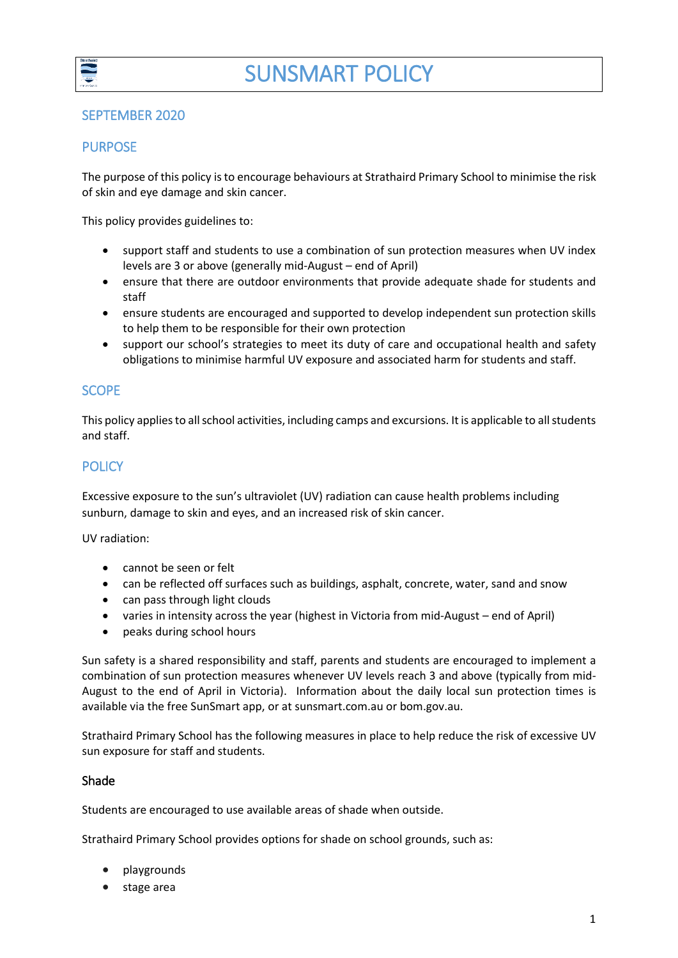

## SEPTEMBER 2020

# PURPOSE

The purpose of this policy is to encourage behaviours at Strathaird Primary School to minimise the risk of skin and eye damage and skin cancer.

This policy provides guidelines to:

- support staff and students to use a combination of sun protection measures when UV index levels are 3 or above (generally mid-August – end of April)
- ensure that there are outdoor environments that provide adequate shade for students and staff
- ensure students are encouraged and supported to develop independent sun protection skills to help them to be responsible for their own protection
- support our school's strategies to meet its duty of care and occupational health and safety obligations to minimise harmful UV exposure and associated harm for students and staff.

## **SCOPE**

This policy applies to all school activities, including camps and excursions. It is applicable to all students and staff.

# **POLICY**

Excessive exposure to the sun's ultraviolet (UV) radiation can cause health problems including sunburn, damage to skin and eyes, and an increased risk of skin cancer.

UV radiation:

- cannot be seen or felt
- can be reflected off surfaces such as buildings, asphalt, concrete, water, sand and snow
- can pass through light clouds
- varies in intensity across the year (highest in Victoria from mid-August end of April)
- peaks during school hours

Sun safety is a shared responsibility and staff, parents and students are encouraged to implement a combination of sun protection measures whenever UV levels reach 3 and above (typically from mid-August to the end of April in Victoria). Information about the daily local sun protection times is available via the free [SunSmart app,](http://www.sunsmart.com.au/tools/interactive-tools/free-sunsmart-app) or a[t sunsmart.com.au](http://www.sunsmart.com.au/) or bom.gov.au.

Strathaird Primary School has the following measures in place to help reduce the risk of excessive UV sun exposure for staff and students.

### Shade

Students are encouraged to use available areas of shade when outside.

Strathaird Primary School provides options for shade on school grounds, such as:

- playgrounds
- stage area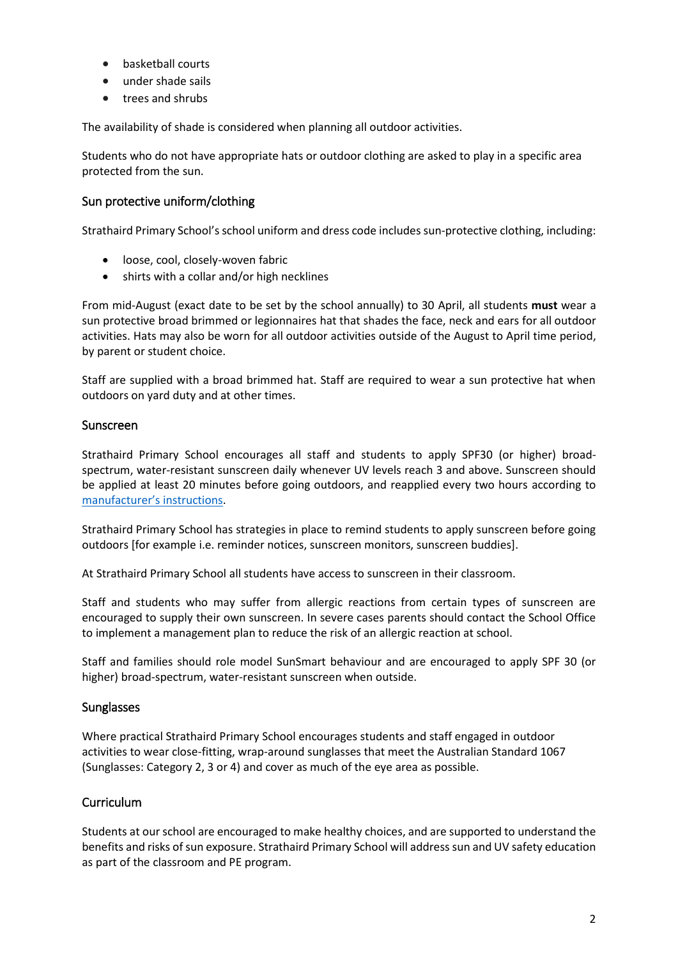- basketball courts
- under shade sails
- trees and shrubs

The availability of shade is considered when planning all outdoor activities.

Students who do not have appropriate hats or outdoor clothing are asked to play in a specific area protected from the sun.

## Sun protective uniform/clothing

Strathaird Primary School'sschool uniform and dress code includes sun-protective clothing, including:

- loose, cool, closely-woven fabric
- shirts with a collar and/or high necklines

From mid-August (exact date to be set by the school annually) to 30 April, all students **must** wear a sun protective broad brimmed or legionnaires hat that shades the face, neck and ears for all outdoor activities. Hats may also be worn for all outdoor activities outside of the August to April time period, by parent or student choice.

Staff are supplied with a broad brimmed hat. Staff are required to wear a sun protective hat when outdoors on yard duty and at other times.

#### Sunscreen

Strathaird Primary School encourages all staff and students to apply SPF30 (or higher) broadspectrum, water-resistant sunscreen daily whenever UV levels reach 3 and above. Sunscreen should be applied at least 20 minutes before going outdoors, and reapplied every two hours according to manufact[urer's instructions](https://www.tga.gov.au/book/4-labelling-and-advertising).

Strathaird Primary School has strategies in place to remind students to apply sunscreen before going outdoors [for example i.e. reminder notices, sunscreen monitors, sunscreen buddies].

At Strathaird Primary School all students have access to sunscreen in their classroom.

Staff and students who may suffer from allergic reactions from certain types of sunscreen are encouraged to supply their own sunscreen. In severe cases parents should contact the School Office to implement a management plan to reduce the risk of an allergic reaction at school.

Staff and families should role model SunSmart behaviour and are encouraged to apply SPF 30 (or higher) broad-spectrum, water-resistant sunscreen when outside.

### **Sunglasses**

Where practical Strathaird Primary School encourages students and staff engaged in outdoor activities to wear close-fitting, wrap-around sunglasses that meet the Australian Standard 1067 (Sunglasses: Category 2, 3 or 4) and cover as much of the eye area as possible.

### Curriculum

Students at our school are encouraged to make healthy choices, and are supported to understand the benefits and risks of sun exposure. Strathaird Primary School will address sun and UV safety education as part of the classroom and PE program.